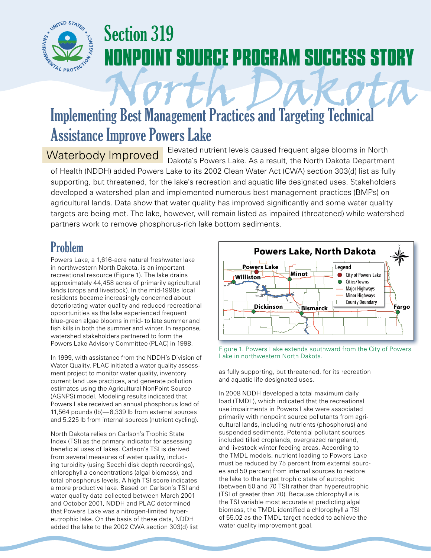

# Section 319 **OINT SOURCE PROGRAM SUCCESS STORY**

# Implementing Best Management Practices and Targeting Technical Assistance Improve Powers Lake

Waterbody Improved Elevated nutrient levels caused frequent algae blooms in North<br>Dakota Department Dakota's Powers Lake. As a result, the North Dakota Department of Health (NDDH) added Powers Lake to its 2002 Clean Water Act (CWA) section 303(d) list as fully supporting, but threatened, for the lake's recreation and aquatic life designated uses. Stakeholders developed a watershed plan and implemented numerous best management practices (BMPs) on agricultural lands. Data show that water quality has improved significantly and some water quality targets are being met. The lake, however, will remain listed as impaired (threatened) while watershed partners work to remove phosphorus-rich lake bottom sediments.

## Problem

Powers Lake, a 1,616-acre natural freshwater lake in northwestern North Dakota, is an important recreational resource (Figure 1). The lake drains approximately 44,458 acres of primarily agricultural lands (crops and livestock). In the mid-1990s local residents became increasingly concerned about deteriorating water quality and reduced recreational opportunities as the lake experienced frequent blue-green algae blooms in mid- to late summer and fish kills in both the summer and winter. In response, watershed stakeholders partnered to form the Powers Lake Advisory Committee (PLAC) in 1998.

In 1999, with assistance from the NDDH's Division of Water Quality, PLAC initiated a water quality assessment project to monitor water quality, inventory current land use practices, and generate pollution estimates using the Agricultural NonPoint Source (AGNPS) model. Modeling results indicated that Powers Lake received an annual phosphorus load of 11,564 pounds (lb)—6,339 lb from external sources and 5,225 lb from internal sources (nutrient cycling).

North Dakota relies on Carlson's Trophic State Index (TSI) as the primary indicator for assessing beneficial uses of lakes. Carlson's TSI is derived from several measures of water quality, including turbidity (using Secchi disk depth recordings), chlorophyll *a* concentrations (algal biomass), and total phosphorus levels. A high TSI score indicates a more productive lake. Based on Carlson's TSI and water quality data collected between March 2001 and October 2001, NDDH and PLAC determined that Powers Lake was a nitrogen-limited hypereutrophic lake. On the basis of these data, NDDH added the lake to the 2002 CWA section 303(d) list



Figure 1. Powers Lake extends southward from the City of Powers Lake in northwestern North Dakota.

as fully supporting, but threatened, for its recreation and aquatic life designated uses.

In 2008 NDDH developed a total maximum daily load (TMDL), which indicated that the recreational use impairments in Powers Lake were associated primarily with nonpoint source pollutants from agricultural lands, including nutrients (phosphorus) and suspended sediments. Potential pollutant sources included tilled croplands, overgrazed rangeland, and livestock winter feeding areas. According to the TMDL models, nutrient loading to Powers Lake must be reduced by 75 percent from external sources and 50 percent from internal sources to restore the lake to the target trophic state of eutrophic (between 50 and 70 TSI) rather than hypereutrophic (TSI of greater than 70). Because chlorophyll *a* is the TSI variable most accurate at predicting algal biomass, the TMDL identified a chlorophyll *a* TSI of 55.02 as the TMDL target needed to achieve the water quality improvement goal.